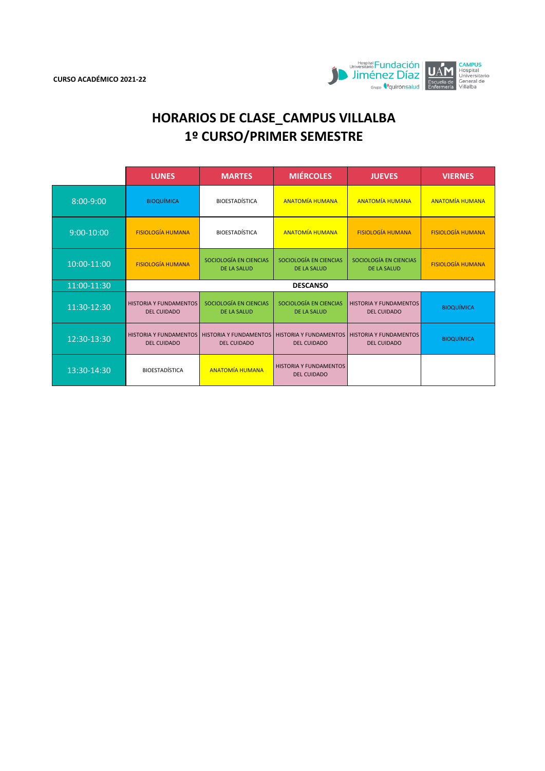

## **HORARIOS DE CLASE\_CAMPUS VILLALBA 1º CURSO/PRIMER SEMESTRE**

|                | <b>LUNES</b>                                        | <b>MARTES</b>                                       | <b>MIÉRCOLES</b>                                    | <b>JUEVES</b>                                       | <b>VIERNES</b>           |
|----------------|-----------------------------------------------------|-----------------------------------------------------|-----------------------------------------------------|-----------------------------------------------------|--------------------------|
| $8:00 - 9:00$  | <b>BIOQUÍMICA</b>                                   | <b>BIOESTADÍSTICA</b>                               | <b>ANATOMÍA HUMANA</b>                              | <b>ANATOMÍA HUMANA</b>                              | <b>ANATOMÍA HUMANA</b>   |
| $9:00 - 10:00$ | <b>FISIOLOGÍA HUMANA</b>                            | <b>BIOESTADÍSTICA</b>                               | <b>ANATOMÍA HUMANA</b>                              | <b>FISIOLOGÍA HUMANA</b>                            | <b>FISIOLOGÍA HUMANA</b> |
| 10:00-11:00    | <b>FISIOLOGÍA HUMANA</b>                            | SOCIOLOGÍA EN CIENCIAS<br><b>DE LA SALUD</b>        | SOCIOLOGÍA EN CIENCIAS<br><b>DE LA SALUD</b>        | SOCIOLOGÍA EN CIENCIAS<br><b>DE LA SALUD</b>        | <b>FISIOLOGÍA HUMANA</b> |
| 11:00-11:30    |                                                     |                                                     | <b>DESCANSO</b>                                     |                                                     |                          |
| 11:30-12:30    | <b>HISTORIA Y FUNDAMENTOS</b><br><b>DEL CUIDADO</b> | SOCIOLOGÍA EN CIENCIAS<br><b>DE LA SALUD</b>        | SOCIOLOGÍA EN CIENCIAS<br><b>DE LA SALUD</b>        | <b>HISTORIA Y FUNDAMENTOS</b><br><b>DEL CUIDADO</b> | <b>BIOQUÍMICA</b>        |
| 12:30-13:30    | <b>HISTORIA Y FUNDAMENTOS</b><br><b>DEL CUIDADO</b> | <b>HISTORIA Y FUNDAMENTOS</b><br><b>DEL CUIDADO</b> | <b>HISTORIA Y FUNDAMENTOS</b><br><b>DEL CUIDADO</b> | <b>HISTORIA Y FUNDAMENTOS</b><br><b>DEL CUIDADO</b> | <b>BIOQUÍMICA</b>        |
| 13:30-14:30    | <b>BIOESTADÍSTICA</b>                               | <b>ANATOMÍA HUMANA</b>                              | <b>HISTORIA Y FUNDAMENTOS</b><br><b>DEL CUIDADO</b> |                                                     |                          |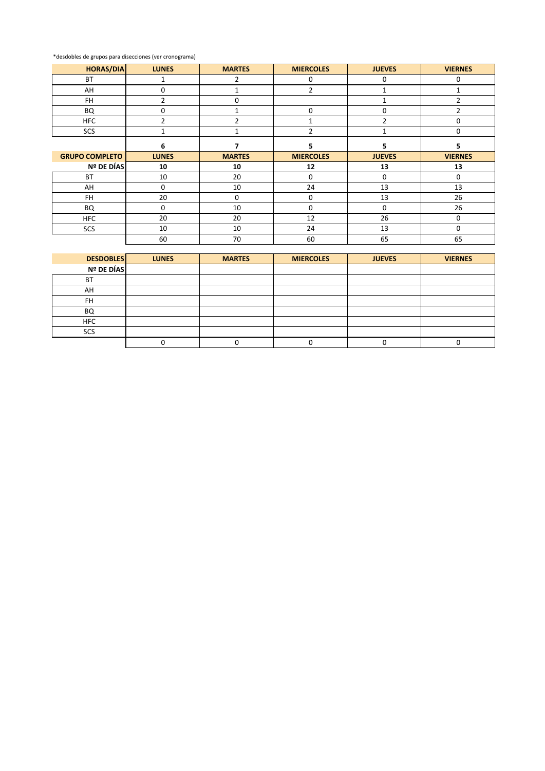\*desdobles de grupos para disecciones (ver cronograma)

| <b>HORAS/DIA</b>      | <b>LUNES</b>   | <b>MARTES</b>  | <b>MIERCOLES</b> | <b>JUEVES</b>  | <b>VIERNES</b> |
|-----------------------|----------------|----------------|------------------|----------------|----------------|
| <b>BT</b>             | 1              | 2              | 0                | 0              | 0              |
| AH                    | 0              |                | $\overline{2}$   | $\mathbf{1}$   | 1              |
| FH.                   | 2              | 0              |                  | 1              | $\overline{2}$ |
| BQ                    | 0              |                | $\mathbf 0$      | 0              | $\mathfrak{p}$ |
| <b>HFC</b>            | $\overline{2}$ | $\overline{2}$ |                  | $\overline{2}$ | 0              |
| SCS                   |                |                | $\overline{2}$   |                | 0              |
|                       | 6              |                | 5                | 5              | 5              |
| <b>GRUPO COMPLETO</b> | <b>LUNES</b>   | <b>MARTES</b>  | <b>MIERCOLES</b> | <b>JUEVES</b>  | <b>VIERNES</b> |
| Nº DE DÍAS            | 10             | 10             | 12               | 13             | 13             |
| <b>BT</b>             | 10             | 20             | $\mathbf 0$      | 0              | 0              |
| AH                    | 0              | 10             | 24               | 13             | 13             |
| FH.                   | 20             | 0              | 0                | 13             | 26             |
| BQ                    | $\mathbf 0$    | 10             | $\mathbf 0$      | 0              | 26             |
| <b>HFC</b>            | 20             | 20             | 12               | 26             | 0              |
| SCS                   | 10             | 10             | 24               | 13             | 0              |
|                       | 60             | 70             | 60               | 65             | 65             |

| <b>DESDOBLES</b> | <b>LUNES</b> | <b>MARTES</b> | <b>MIERCOLES</b> | <b>JUEVES</b> | <b>VIERNES</b> |
|------------------|--------------|---------------|------------------|---------------|----------------|
| Nº DE DÍAS       |              |               |                  |               |                |
| <b>BT</b>        |              |               |                  |               |                |
| AH               |              |               |                  |               |                |
| FH               |              |               |                  |               |                |
| BQ               |              |               |                  |               |                |
| <b>HFC</b>       |              |               |                  |               |                |
| SCS              |              |               |                  |               |                |
|                  |              |               |                  |               |                |